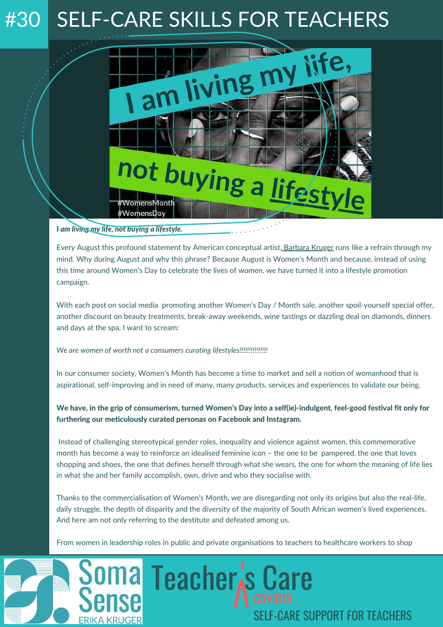## #30 SELF-CARE SKILLS FOR TEACHERS



## I *am living my life, not buying a lifestyle.*

ma

Every August this profound statement by American conceptual artist, [Barbara](http://www.artnet.com/artists/barbara-kruger/) Kruger runs like a refrain through my mind. Why during August and why this phrase? Because August is Women's Month and because, instead of using this time around Women's Day to celebrate the lives of women, we have turned it into a lifestyle promotion campaign.

With each post on social media promoting another Women's Day / Month sale, another spoil-yourself special offer, another discount on beauty treatments, break-away weekends, wine tastings or dazzling deal on diamonds, dinners and days at the spa, I want to scream:

*We are women of worth not a consumers curating lifestyles!!!!!!!!!!!!!!!*

In our consumer society, Women's Month has become a time to market and sell a notion of womanhood that is aspirational, self-improving and in need of many, many products, services and experiences to validate our being.

We have, in the grip of consumerism, turned Women's Day into a self(ie)-indulgent, feel-good festival fit only for furthering our meticulously curated personas on Facebook and Instagram.

Instead of challenging stereotypical gender roles, inequality and violence against women, this commemorative month has become a way to reinforce an idealised feminine icon – the one to be pampered, the one that loves shopping and shoes, the one that defines herself through what she wears, the one for whom the meaning of life lies in what she and her family accomplish, own, drive and who they socialise with.

Thanks to the commercialisation of Women's Month, we are disregarding not only its origins but also the real-life, daily struggle, the depth of disparity and the diversity of the majority of South African women's lived experiences. And here am not only referring to the destitute and defeated among us.

s Care

SELF-CARE SUPPORT FOR TEACHERS

From women in leadership roles in public and private organisations to teachers to healthcare workers to shop

Teacher<sub>s</sub>